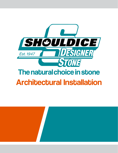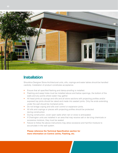

## **Installation**

Shouldice Designer Stone Architectural units, sills, copings and water tables should be handled carefully. Installation of product constitutes acceptance.

- Ensure that all specified flashing and damp-proofing is installed.
- Flashing and weep holes must be installed above and below openings, the bottom of the walls and any points where water may gather.
- All head joints at copings and sills and all stone sections with projecting profiles and/or exposed top joints should be raked and made into sealant joints. Only the ends extending under the wall should be mortared joints.
- Do not bridge coping and sills over control or expansion joints.
- All sills and copings or pieces with projecting profiles should be protected during construction.
- During construction, cover open walls when rain or snow is anticipated.
- If Charington units are installed in an area that may receive salt or de-icing chemicals or excessive moisture, they must be sealed.
- Failure to follow the above instructions may allow excessive and harmful moisture to accumulate in the wall system.

**Please reference the Technical Specification section for more information on Control Joints, Flashing, etc.**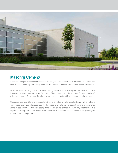

## **Masonry Cement**

Shouldice Designer Stone recommends the use of Type N masonry mixed at a ratio of 3 to 1 with clean sharp masonry sand. Type S masonry should not be used in conjunction with standard veneer applications.

Use consistent batching procedures when mixing mortar and take adequate mixing time. Tool the joint after the mortar has begun to stiffen slightly. Should a joint be tooled too soon (in a wet condition) a light joint results. Conversely, if a joint is allowed to become too stiff, a dark burned joint will result.

Shouldice Designer Stone is manufactured using an integral water repellent agent which inhibits water absorption and efflorescence. The low absorption rate may affect set up time of the mortar joints in cool weather. This slow set-up time will be an advantage in warm, dry weather but it is important to keep all material covered and dry in wet or cold conditions to ensure tooling of the joint can be done at the proper time.